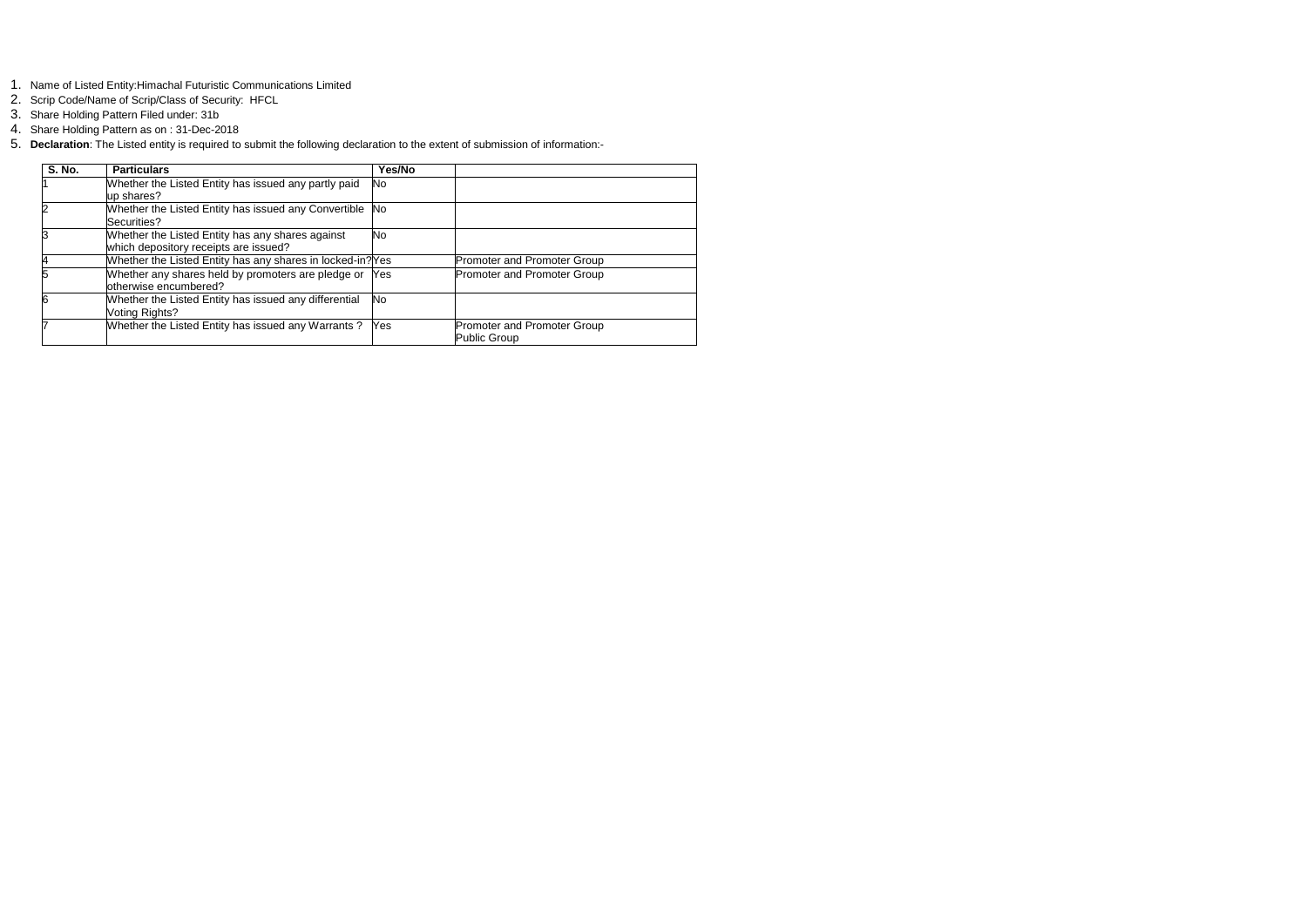- 1. Name of Listed Entity:Himachal Futuristic Communications Limited
- 2. Scrip Code/Name of Scrip/Class of Security: HFCL
- 3. Share Holding Pattern Filed under: 31b
- 4. Share Holding Pattern as on : 31-Dec-2018
- 5. **Declaration**: The Listed entity is required to submit the following declaration to the extent of submission of information:-

| <b>S. No.</b> | <b>Particulars</b>                                                                        | Yes/No    |                                             |
|---------------|-------------------------------------------------------------------------------------------|-----------|---------------------------------------------|
|               | Whether the Listed Entity has issued any partly paid<br>up shares?                        | No.       |                                             |
|               | Whether the Listed Entity has issued any Convertible No<br>Securities?                    |           |                                             |
|               | Whether the Listed Entity has any shares against<br>which depository receipts are issued? | <b>No</b> |                                             |
|               | Whether the Listed Entity has any shares in locked-in? Yes                                |           | Promoter and Promoter Group                 |
|               | Whether any shares held by promoters are pledge or Yes<br>otherwise encumbered?           |           | <b>Promoter and Promoter Group</b>          |
|               | Whether the Listed Entity has issued any differential<br>Voting Rights?                   | No.       |                                             |
|               | Whether the Listed Entity has issued any Warrants ? $\overline{Yes}$                      |           | Promoter and Promoter Group<br>Public Group |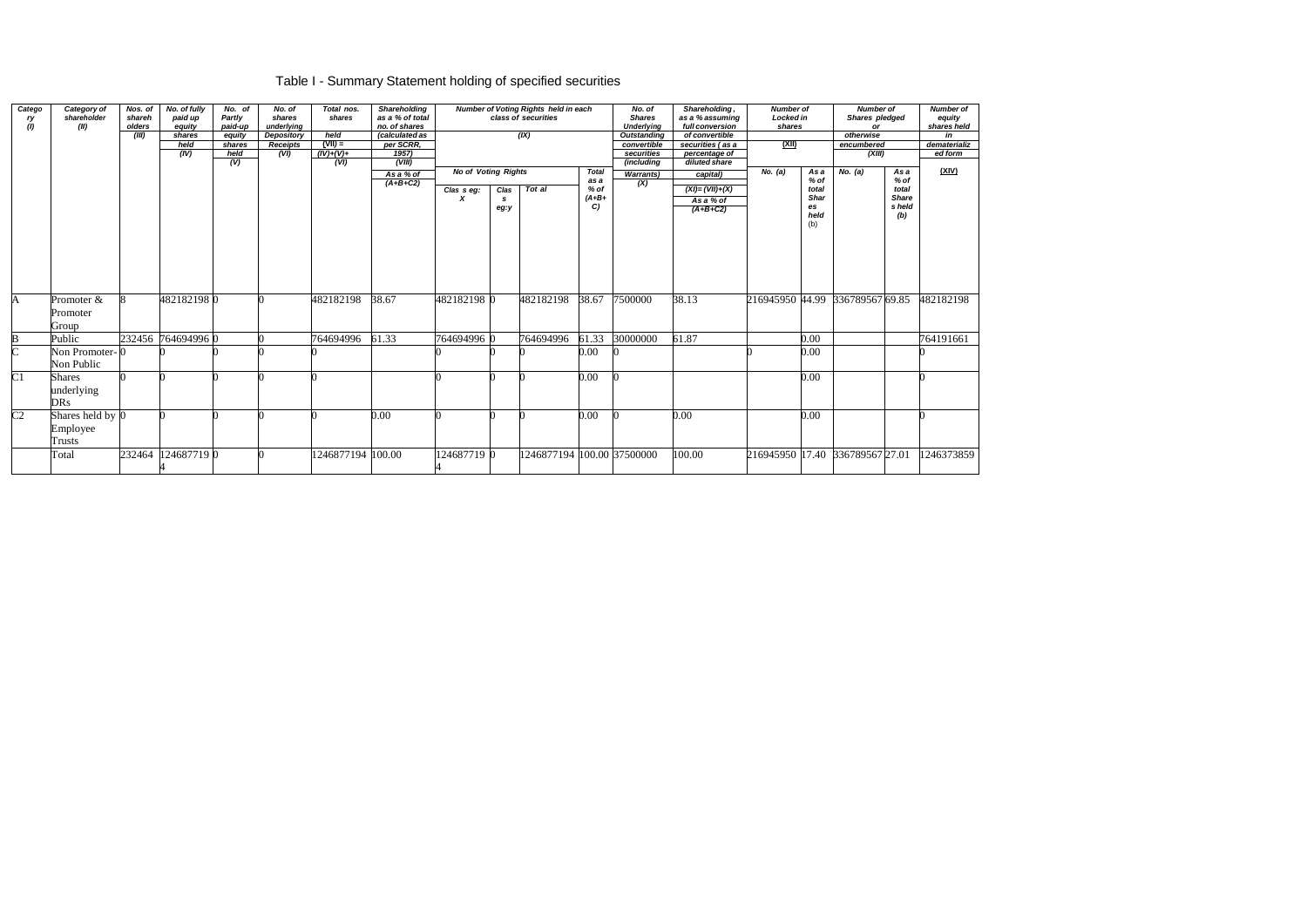# Table I - Summary Statement holding of specified securities

| Catego<br>ry<br>(1) | Category of<br>shareholder<br>(II)        | Nos. of<br>shareh<br>olders<br>(III) | No. of fully<br>paid up<br>equity<br>shares<br>held<br>(IV) | No. of<br>Partly<br>paid-up<br>equity<br>shares<br>held<br>(V) | No. of<br>shares<br>underlying<br><b>Depository</b><br><b>Receipts</b><br>(VI) | Total nos.<br>shares<br>held<br>$(VII) =$<br>$(IV)+(V)+$<br>(VI) | Shareholding<br>as a % of total<br>no. of shares<br>(calculated as<br>per SCRR,<br>1957)<br>(VIII)<br>As a % of<br>$(A+B+C2)$ |                 | Number of Voting Rights held in each<br>class of securities<br>(IX)<br><b>No of Voting Rights</b><br><b>Total</b><br>as a |                            | No. of<br><b>Shares</b><br><b>Underlying</b><br><b>Outstanding</b><br>convertible<br>securities<br>(including<br><b>Warrants</b> ) | as a % assuming<br>full conversion<br>of convertible<br>securities (as a<br>percentage of<br>diluted share<br>No. (a)<br>capital) |                                               | Shareholding,<br>$\overline{(\mathsf{X})}$ |                                    | <b>Number of</b><br>Locked in<br>shares<br>As a<br>$%$ of | <b>Number of</b><br>Shares pledged<br>or<br>otherwise<br>encumbered<br>(XIII)<br>No. (a)<br>As a<br>% of |            | <b>Number of</b><br>equity<br>shares held<br>in<br>dematerializ<br>ed form<br>(XIV) |
|---------------------|-------------------------------------------|--------------------------------------|-------------------------------------------------------------|----------------------------------------------------------------|--------------------------------------------------------------------------------|------------------------------------------------------------------|-------------------------------------------------------------------------------------------------------------------------------|-----------------|---------------------------------------------------------------------------------------------------------------------------|----------------------------|------------------------------------------------------------------------------------------------------------------------------------|-----------------------------------------------------------------------------------------------------------------------------------|-----------------------------------------------|--------------------------------------------|------------------------------------|-----------------------------------------------------------|----------------------------------------------------------------------------------------------------------|------------|-------------------------------------------------------------------------------------|
|                     |                                           |                                      |                                                             |                                                                |                                                                                |                                                                  |                                                                                                                               | Clas s eg:<br>x | Clas<br><b>S</b><br>eg:y                                                                                                  | Tot al                     | % of<br>$(A+B+$<br>C                                                                                                               |                                                                                                                                   | $(XI) = (VII)+(X)$<br>As a % of<br>$(A+B+C2)$ |                                            | total<br>Shar<br>es<br>held<br>(b) |                                                           | total<br><b>Share</b><br>s held<br>(b)                                                                   |            |                                                                                     |
| A                   | Promoter &<br>Promoter<br>Group           |                                      | 4821821980                                                  |                                                                |                                                                                | 482182198                                                        | 38.67                                                                                                                         | 482182198 0     |                                                                                                                           | 482182198                  | 38.67                                                                                                                              | 7500000                                                                                                                           | 38.13                                         | 216945950 44.99                            |                                    | 336789567 69.85                                           |                                                                                                          | 482182198  |                                                                                     |
| B                   | Public                                    |                                      | 232456 764694996 0                                          |                                                                |                                                                                | 764694996                                                        | 61.33                                                                                                                         | 764694996 0     |                                                                                                                           | 764694996                  | 61.33                                                                                                                              | 30000000                                                                                                                          | 61.87                                         |                                            | 0.00                               |                                                           |                                                                                                          | 764191661  |                                                                                     |
|                     | Non Promoter-0<br>Non Public              |                                      |                                                             |                                                                |                                                                                |                                                                  |                                                                                                                               |                 |                                                                                                                           |                            | 0.00                                                                                                                               |                                                                                                                                   |                                               |                                            | 0.00                               |                                                           |                                                                                                          |            |                                                                                     |
| C <sub>1</sub>      | <b>Shares</b><br>underlying<br><b>DRs</b> |                                      |                                                             |                                                                |                                                                                |                                                                  |                                                                                                                               |                 |                                                                                                                           |                            | 0.00                                                                                                                               |                                                                                                                                   |                                               |                                            | $0.00\,$                           |                                                           |                                                                                                          |            |                                                                                     |
| C <sub>2</sub>      | Shares held by 0<br>Employee<br>Trusts    |                                      |                                                             |                                                                |                                                                                |                                                                  | 0.00                                                                                                                          |                 |                                                                                                                           |                            | $0.00\,$                                                                                                                           |                                                                                                                                   | 0.00                                          |                                            | 0.00                               |                                                           |                                                                                                          |            |                                                                                     |
|                     | Total                                     | 232464                               | 1246877190                                                  |                                                                |                                                                                | 1246877194 100.00                                                |                                                                                                                               | 124687719 0     |                                                                                                                           | 1246877194 100.00 37500000 |                                                                                                                                    |                                                                                                                                   | 100.00                                        | 216945950 17.40 336789567 27.01            |                                    |                                                           |                                                                                                          | 1246373859 |                                                                                     |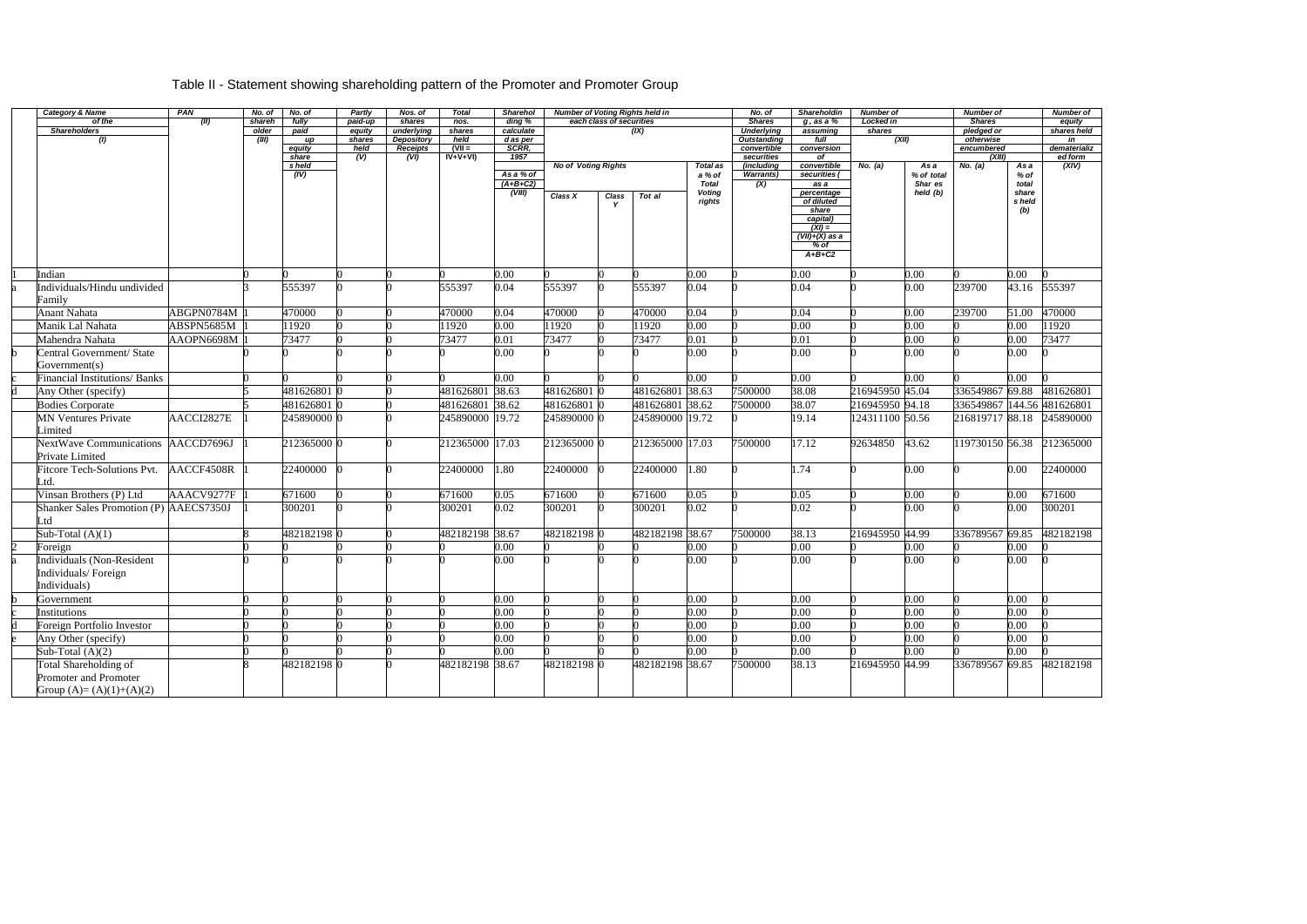# Table II - Statement showing shareholding pattern of the Promoter and Promoter Group

| <b>Category &amp; Name</b>             | PAN        | No. of         | No. of        | <b>Partly</b>    | Nos. of                         | Total           | <b>Sharehol</b>         | <b>Number of Voting Rights held in</b> |                          |                 |                        | No. of                                  | <b>Shareholdin</b>     | <b>Number of</b> |                       | <b>Number of</b>           |               | <b>Number of</b>  |
|----------------------------------------|------------|----------------|---------------|------------------|---------------------------------|-----------------|-------------------------|----------------------------------------|--------------------------|-----------------|------------------------|-----------------------------------------|------------------------|------------------|-----------------------|----------------------------|---------------|-------------------|
| of the                                 | (II)       | shareh         | fully         | paid-up          | shares                          | nos.            | ding %                  |                                        | each class of securities |                 |                        | <b>Shares</b>                           | $g$ , as a $%$         | Locked in        |                       | <b>Shares</b>              |               | equity            |
| <b>Shareholders</b><br>$\omega$        |            | older<br>(III) | paid<br>up    | equity<br>shares | underlying<br><b>Depository</b> | shares<br>held  | calculate<br>d as per   |                                        |                          | (IX)            |                        | <b>Underlying</b><br><b>Outstanding</b> | assuming<br>full       | shares<br>(XII)  |                       | pledged or<br>otherwise    |               | shares held<br>in |
|                                        |            |                | equity        | held             | <b>Receipts</b>                 | $N =$           | SCRR,                   |                                        |                          |                 |                        | convertible                             | conversion             |                  |                       | encumbered                 |               | dematerializ      |
|                                        |            |                | share         | (V)              | (VI)                            | $IV+V+VI$       | 1957                    |                                        |                          |                 |                        | securities                              | of                     |                  |                       | (XIII)                     |               | ed form           |
|                                        |            |                | s held        |                  |                                 |                 |                         | <b>No of Voting Rights</b>             |                          |                 | <b>Total as</b>        | (including                              | convertible            | No. (a)          | As a                  | No. (a)                    | As a          | (XIV)             |
|                                        |            |                | $\sqrt{(IV)}$ |                  |                                 |                 | As a % of<br>$(A+B+C2)$ |                                        |                          |                 | a % of<br><b>Total</b> | <b>Warrants</b> )<br>(X)                | securities $($<br>as a |                  | % of total<br>Shar es |                            | % of<br>total |                   |
|                                        |            |                |               |                  |                                 |                 | (VIII)                  | Class X                                | Class                    | Tot al          | <b>Voting</b>          |                                         | percentage             |                  | held (b)              |                            | share         |                   |
|                                        |            |                |               |                  |                                 |                 |                         |                                        |                          |                 | rights                 |                                         | of diluted             |                  |                       |                            | s held        |                   |
|                                        |            |                |               |                  |                                 |                 |                         |                                        |                          |                 |                        |                                         | share                  |                  |                       |                            | (b)           |                   |
|                                        |            |                |               |                  |                                 |                 |                         |                                        |                          |                 |                        |                                         | capital)<br>$(XI) =$   |                  |                       |                            |               |                   |
|                                        |            |                |               |                  |                                 |                 |                         |                                        |                          |                 |                        |                                         | $(VII)+(X)$ as a       |                  |                       |                            |               |                   |
|                                        |            |                |               |                  |                                 |                 |                         |                                        |                          |                 |                        |                                         | $%$ of                 |                  |                       |                            |               |                   |
|                                        |            |                |               |                  |                                 |                 |                         |                                        |                          |                 |                        |                                         | $A+B+C2$               |                  |                       |                            |               |                   |
| Indian                                 |            |                |               |                  |                                 |                 | 0.00                    |                                        |                          |                 | 0.00                   |                                         | 0.00                   |                  | 0.00                  |                            | 0.00          |                   |
| Individuals/Hindu undivided            |            |                | 555397        |                  |                                 | 555397          | 0.04                    | 555397                                 |                          | 555397          | 0.04                   |                                         | 0.04                   |                  | 0.00                  | 239700                     | 43.16         | 555397            |
| Family                                 |            |                |               |                  |                                 |                 |                         |                                        |                          |                 |                        |                                         |                        |                  |                       |                            |               |                   |
| <b>Anant Nahata</b>                    | ABGPN0784M |                | 470000        |                  |                                 | 470000          | 0.04                    | 470000                                 |                          | 470000          | 0.04                   |                                         | 0.04                   |                  | 0.00                  | 239700                     | 51.00         | 470000            |
| Manik Lal Nahata                       | ABSPN5685M |                | 11920         |                  |                                 | 11920           | 0.00                    | 11920                                  |                          | 11920           | 0.00                   |                                         | 0.00                   |                  | 0.00                  |                            | 0.00          | 11920             |
| Mahendra Nahata                        | AAOPN6698M |                | 73477         |                  |                                 | 73477           | 0.01                    | 73477                                  |                          | 73477           | 0.01                   |                                         | 0.01                   |                  | 0.00                  |                            | 0.00          | 73477             |
| Central Government/ State              |            |                |               |                  |                                 |                 | 0.00                    |                                        |                          |                 | 0.00                   |                                         | $\overline{0.00}$      |                  | 0.00                  |                            | $0.00\,$      |                   |
| Government(s)                          |            |                |               |                  |                                 |                 |                         |                                        |                          |                 |                        |                                         |                        |                  |                       |                            |               |                   |
| <b>Financial Institutions/Banks</b>    |            |                |               |                  |                                 |                 | 0.00                    |                                        |                          |                 | $0.00\,$               |                                         | 0.00                   |                  | 0.00                  |                            | $0.00\,$      |                   |
| Any Other (specify)                    |            |                | 481626801     |                  |                                 | 481626801 38.63 |                         | 481626801                              |                          | 481626801 38.63 |                        | 7500000                                 | 38.08                  | 216945950 45.04  |                       | 336549867 69.88            |               | 481626801         |
| <b>Bodies Corporate</b>                |            |                | 481626801     |                  |                                 | 481626801 38.62 |                         | 481626801                              |                          | 481626801 38.62 |                        | 7500000                                 | 38.07                  | 216945950 94.18  |                       | 336549867 144.56 481626801 |               |                   |
| <b>MN Ventures Private</b>             | AACCI2827E |                | 245890000 0   |                  |                                 | 245890000 19.72 |                         | 245890000 0                            |                          | 245890000 19.72 |                        |                                         | 19.14                  | 124311100 50.56  |                       | 216819717 88.18            |               | 245890000         |
| Limited                                |            |                |               |                  |                                 |                 |                         |                                        |                          |                 |                        |                                         |                        |                  |                       |                            |               |                   |
| NextWave Communications                | AACCD7696J |                | 212365000 0   |                  |                                 | 212365000 17.03 |                         | 212365000 0                            |                          | 212365000       | 17.03                  | 7500000                                 | 17.12                  | 92634850         | 43.62                 | 119730150 56.38            |               | 212365000         |
| Private Limited                        |            |                |               |                  |                                 |                 |                         |                                        |                          |                 |                        |                                         |                        |                  |                       |                            |               |                   |
| Fitcore Tech-Solutions Pvt.            | AACCF4508R |                | 22400000      |                  |                                 | 22400000        | .80                     | 22400000                               |                          | 22400000        | 1.80                   |                                         | 1.74                   |                  | 0.00                  |                            | $0.00\,$      | 22400000          |
| ∟td.                                   |            |                |               |                  |                                 |                 |                         |                                        |                          |                 |                        |                                         |                        |                  |                       |                            |               |                   |
| Vinsan Brothers (P) Ltd                | AAACV9277F |                | 671600        |                  |                                 | 671600          | 0.05                    | 671600                                 |                          | 671600          | 0.05                   |                                         | 0.05                   |                  | 0.00                  |                            | 0.00          | 671600            |
| Shanker Sales Promotion (P) AAECS7350J |            |                | 300201        |                  |                                 | 300201          | 0.02                    | 300201                                 |                          | 300201          | 0.02                   |                                         | 0.02                   |                  | 0.00                  |                            | $0.00\,$      | 300201            |
| ∟td                                    |            |                |               |                  |                                 |                 |                         |                                        |                          |                 |                        |                                         |                        |                  |                       |                            |               |                   |
| Sub-Total $(A)(1)$                     |            |                | 482182198 0   |                  |                                 | 482182198 38.67 |                         | 482182198 0                            |                          | 482182198 38.67 |                        | 7500000                                 | 38.13                  | 216945950 44.99  |                       | 336789567 69.85            |               | 482182198         |
| Foreign                                |            |                |               |                  |                                 |                 | 0.00                    |                                        |                          |                 | 0.00                   |                                         | 0.00                   |                  | 0.00                  |                            | 0.00          |                   |
| Individuals (Non-Resident              |            |                |               |                  |                                 |                 | 0.00                    |                                        |                          |                 | 0.00                   |                                         | 0.00                   |                  | 0.00                  |                            | $0.00\,$      |                   |
| Individuals/Foreign                    |            |                |               |                  |                                 |                 |                         |                                        |                          |                 |                        |                                         |                        |                  |                       |                            |               |                   |
| Individuals)                           |            |                |               |                  |                                 |                 |                         |                                        |                          |                 |                        |                                         |                        |                  |                       |                            |               |                   |
| Government                             |            | ∩              |               |                  |                                 |                 | 0.00                    |                                        |                          |                 | 0.00                   | $\bf{0}$                                | 0.00                   |                  | 0.00                  |                            | $0.00\,$      |                   |
| Institutions                           |            |                |               |                  |                                 |                 | $\overline{0.00}$       |                                        |                          |                 | $\overline{0.00}$      |                                         | $\overline{0.00}$      |                  | 0.00                  |                            | 0.00          |                   |
| Foreign Portfolio Investor             |            |                |               |                  |                                 |                 | 0.00                    |                                        |                          |                 | 0.00                   |                                         | $\overline{0.00}$      |                  | 0.00                  |                            | $0.00\,$      |                   |
| Any Other (specify)                    |            |                |               |                  |                                 |                 | $\overline{0.00}$       |                                        |                          |                 | 0.00                   |                                         | 0.00                   |                  | 0.00                  |                            | 0.00          |                   |
| Sub-Total $(A)(2)$                     |            |                |               |                  |                                 |                 | 0.00                    |                                        |                          |                 | 0.00                   |                                         | 0.00                   |                  | 0.00                  |                            | 0.00          |                   |
| <b>Total Shareholding of</b>           |            |                | 482182198 0   |                  |                                 | 482182198 38.67 |                         | 482182198 0                            |                          | 482182198 38.67 |                        | 7500000                                 | 38.13                  | 216945950 44.99  |                       | 336789567 69.85            |               | 482182198         |
| Promoter and Promoter                  |            |                |               |                  |                                 |                 |                         |                                        |                          |                 |                        |                                         |                        |                  |                       |                            |               |                   |
| Group $(A)=(A)(1)+(A)(2)$              |            |                |               |                  |                                 |                 |                         |                                        |                          |                 |                        |                                         |                        |                  |                       |                            |               |                   |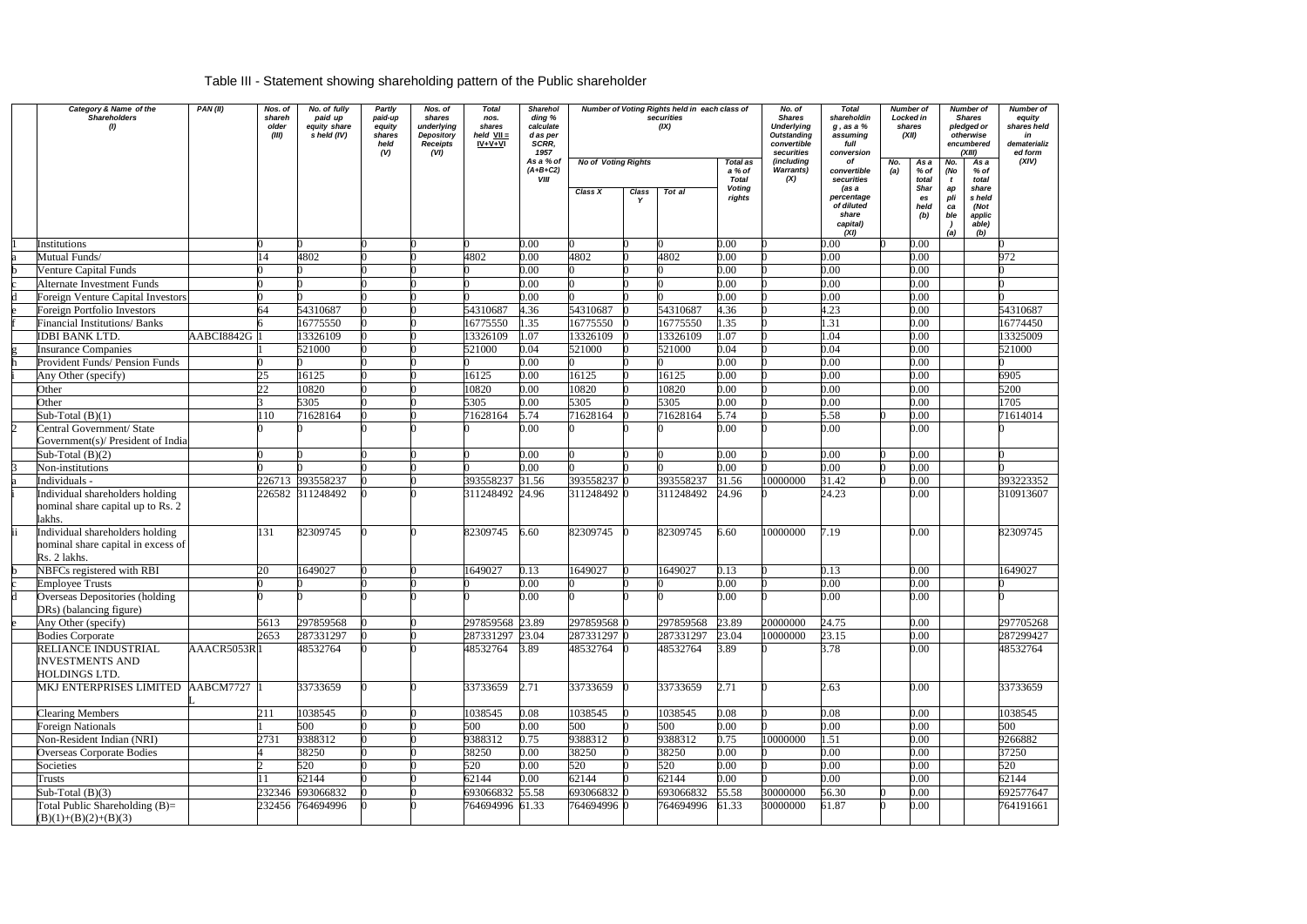# Table III - Statement showing shareholding pattern of the Public shareholder

| Category & Name of the<br><b>Shareholders</b><br>(1)                                  | PAN(II)     | Nos. of<br>shareh<br>older<br>(III) | No. of fully<br>paid up<br>equity share<br>s held (IV) | Partly<br>paid-up<br>equity<br>shares<br>held<br>(V) | Nos. of<br>shares<br>underlying<br>Depository<br><b>Receipts</b><br>(VI) | <b>Total</b><br>nos.<br>shares<br>held $VII =$<br>$IV + V + VI$ | <b>Sharehol</b><br>ding %<br>calculate<br>d as per<br>SCRR,<br>1957<br>As a % of |             | Number of Voting Rights held in each class of<br>securities<br>(IX)<br><b>No of Voting Rights</b><br><b>Total as</b> |           |                                                   | No. of<br><b>Shares</b><br><b>Underlying</b><br><b>Outstanding</b><br>convertible<br>securities<br>(including | <b>Total</b><br>shareholdin<br>$g$ , as a $%$<br>assuming<br>full<br>conversion<br>Οf       | No. | Number of<br>Locked in<br>shares<br>(XII)<br>As a | Number of<br><b>Shares</b><br>pledged or<br>otherwise<br>encumbered<br>(XIII)<br>As a<br>No. |                                                                      | <b>Number of</b><br>equity<br>shares held<br>in<br>dematerializ<br>ed form<br>(XIV) |
|---------------------------------------------------------------------------------------|-------------|-------------------------------------|--------------------------------------------------------|------------------------------------------------------|--------------------------------------------------------------------------|-----------------------------------------------------------------|----------------------------------------------------------------------------------|-------------|----------------------------------------------------------------------------------------------------------------------|-----------|---------------------------------------------------|---------------------------------------------------------------------------------------------------------------|---------------------------------------------------------------------------------------------|-----|---------------------------------------------------|----------------------------------------------------------------------------------------------|----------------------------------------------------------------------|-------------------------------------------------------------------------------------|
|                                                                                       |             |                                     |                                                        |                                                      |                                                                          |                                                                 | $(A+B+C2)$<br><b>VIII</b>                                                        | Class X     | Class                                                                                                                | Tot al    | a % of<br><b>Total</b><br><b>Voting</b><br>rights | <b>Warrants)</b><br>(X)                                                                                       | convertible<br>securities<br>(as a<br>percentage<br>of diluted<br>share<br>capital)<br>(XI) | (a) | % of<br>total<br>Shar<br>es<br>held<br>(b)        | (No<br>t<br>ap<br>pli<br>ca<br>ble<br>(a)                                                    | $%$ of<br>total<br>share<br>s held<br>(Not<br>applic<br>able)<br>(b) |                                                                                     |
| Institutions                                                                          |             |                                     |                                                        |                                                      |                                                                          |                                                                 | 0.00                                                                             |             |                                                                                                                      |           | 0.00                                              |                                                                                                               | 0.00                                                                                        |     | 0.00                                              |                                                                                              |                                                                      |                                                                                     |
| Mutual Funds/                                                                         |             |                                     | 4802                                                   |                                                      |                                                                          | 4802                                                            | 0.00                                                                             | 4802        |                                                                                                                      | 4802      | 0.00                                              |                                                                                                               | 0.00                                                                                        |     | 0.00                                              |                                                                                              |                                                                      | 972                                                                                 |
| Venture Capital Funds                                                                 |             |                                     |                                                        |                                                      |                                                                          |                                                                 | 0.00                                                                             |             |                                                                                                                      |           | 0.00                                              |                                                                                                               | 0.00                                                                                        |     | 0.00                                              |                                                                                              |                                                                      |                                                                                     |
| <b>Alternate Investment Funds</b>                                                     |             |                                     |                                                        |                                                      |                                                                          |                                                                 | 0.00                                                                             |             |                                                                                                                      |           | 0.00                                              |                                                                                                               | 0.00                                                                                        |     | 0.00                                              |                                                                                              |                                                                      |                                                                                     |
| Foreign Venture Capital Investors                                                     |             |                                     |                                                        |                                                      |                                                                          |                                                                 | 0.00                                                                             |             |                                                                                                                      |           | 0.00                                              |                                                                                                               | 0.00                                                                                        |     | 0.00                                              |                                                                                              |                                                                      |                                                                                     |
| <b>Foreign Portfolio Investors</b>                                                    |             | 64                                  | 54310687                                               |                                                      |                                                                          | 54310687                                                        | 4.36                                                                             | 54310687    |                                                                                                                      | 54310687  | 4.36                                              |                                                                                                               | $\overline{4.23}$                                                                           |     | 0.00                                              |                                                                                              |                                                                      | 54310687                                                                            |
| <b>Financial Institutions/Banks</b>                                                   |             |                                     | 16775550                                               |                                                      |                                                                          | 16775550                                                        | 1.35                                                                             | 16775550    |                                                                                                                      | 16775550  | 1.35                                              |                                                                                                               | 1.31                                                                                        |     | 0.00                                              |                                                                                              |                                                                      | 16774450                                                                            |
| <b>IDBI BANK LTD.</b>                                                                 | AABCI8842G  |                                     | 13326109                                               |                                                      |                                                                          | 13326109                                                        | 1.07                                                                             | 13326109    |                                                                                                                      | 13326109  | 1.07                                              |                                                                                                               | 1.04                                                                                        |     | 0.00                                              |                                                                                              |                                                                      | 13325009                                                                            |
| <b>Insurance Companies</b>                                                            |             |                                     | 521000                                                 |                                                      |                                                                          | 521000                                                          | 0.04                                                                             | 521000      |                                                                                                                      | 521000    | 0.04                                              |                                                                                                               | 0.04                                                                                        |     | 0.00                                              |                                                                                              |                                                                      | 521000                                                                              |
| Provident Funds/ Pension Funds                                                        |             |                                     |                                                        |                                                      |                                                                          |                                                                 | 0.00                                                                             |             |                                                                                                                      |           | 0.00                                              |                                                                                                               | 0.00                                                                                        |     | 0.00                                              |                                                                                              |                                                                      |                                                                                     |
| Any Other (specify)                                                                   |             | 25                                  | 16125                                                  |                                                      |                                                                          | 16125                                                           | 0.00                                                                             | 16125       |                                                                                                                      | 16125     | 0.00                                              |                                                                                                               | 0.00                                                                                        |     | 0.00                                              |                                                                                              |                                                                      | 6905                                                                                |
| Other                                                                                 |             | 22                                  | 10820                                                  |                                                      |                                                                          | 10820                                                           | 0.00                                                                             | 10820       |                                                                                                                      | 10820     | 0.00                                              |                                                                                                               | 0.00                                                                                        |     | 0.00                                              |                                                                                              |                                                                      | 5200                                                                                |
| Other                                                                                 |             |                                     | 5305                                                   |                                                      |                                                                          | 5305                                                            | 0.00                                                                             | 5305        |                                                                                                                      | 5305      | 0.00                                              |                                                                                                               | 0.00                                                                                        |     | 0.00                                              |                                                                                              |                                                                      | $\frac{1705}{ }$                                                                    |
| Sub-Total $(B)(1)$                                                                    |             | 110                                 | 71628164                                               |                                                      |                                                                          | 71628164                                                        | 5.74                                                                             | 71628164    |                                                                                                                      | 71628164  | 5.74                                              |                                                                                                               | 5.58                                                                                        |     | 0.00                                              |                                                                                              |                                                                      | 71614014                                                                            |
| Central Government/ State<br>h.                                                       |             |                                     |                                                        |                                                      |                                                                          |                                                                 | 0.00                                                                             |             |                                                                                                                      |           | 0.00                                              |                                                                                                               | 0.00                                                                                        |     | 0.00                                              |                                                                                              |                                                                      |                                                                                     |
| Government(s)/ President of India                                                     |             |                                     |                                                        |                                                      |                                                                          |                                                                 |                                                                                  |             |                                                                                                                      |           |                                                   |                                                                                                               |                                                                                             |     |                                                   |                                                                                              |                                                                      |                                                                                     |
| Sub-Total $(B)(2)$                                                                    |             |                                     |                                                        |                                                      |                                                                          |                                                                 | 0.00                                                                             |             |                                                                                                                      |           | 0.00                                              |                                                                                                               | 0.00                                                                                        |     | 0.00                                              |                                                                                              |                                                                      |                                                                                     |
| Non-institutions                                                                      |             |                                     |                                                        |                                                      |                                                                          |                                                                 | 0.00                                                                             |             |                                                                                                                      |           | 0.00                                              |                                                                                                               | 0.00                                                                                        |     | 0.00                                              |                                                                                              |                                                                      |                                                                                     |
| Individuals -                                                                         |             |                                     | 226713 393558237                                       |                                                      |                                                                          | 393558237                                                       | 31.56                                                                            | 393558237 0 |                                                                                                                      | 393558237 | 31.56                                             | 10000000                                                                                                      | 31.42<br>24.23                                                                              |     | 0.00                                              |                                                                                              |                                                                      | 393223352                                                                           |
| Individual shareholders holding<br>nominal share capital up to Rs. 2<br>lakhs.        |             |                                     | 226582 311248492                                       |                                                      |                                                                          | 311248492 24.96                                                 |                                                                                  | 311248492 0 |                                                                                                                      | 311248492 | 24.96                                             |                                                                                                               |                                                                                             |     | 0.00                                              |                                                                                              |                                                                      | 310913607                                                                           |
| Individual shareholders holding<br>nominal share capital in excess of<br>Rs. 2 lakhs. |             | 131                                 | 82309745                                               |                                                      |                                                                          | 82309745                                                        | 6.60                                                                             | 82309745    | $\Omega$                                                                                                             | 82309745  | 6.60                                              | 10000000                                                                                                      | 7.19                                                                                        |     | 0.00                                              |                                                                                              |                                                                      | 82309745                                                                            |
| NBFCs registered with RBI                                                             |             | 20                                  | 1649027                                                |                                                      |                                                                          | 1649027                                                         | 0.13                                                                             | 1649027     |                                                                                                                      | 1649027   | 0.13                                              |                                                                                                               | 0.13                                                                                        |     | 0.00                                              |                                                                                              |                                                                      | 1649027                                                                             |
| <b>Employee Trusts</b>                                                                |             |                                     |                                                        |                                                      |                                                                          |                                                                 | 0.00                                                                             |             |                                                                                                                      |           | 0.00                                              |                                                                                                               | 0.00                                                                                        |     | 0.00                                              |                                                                                              |                                                                      |                                                                                     |
| Overseas Depositories (holding<br>DRs) (balancing figure)                             |             |                                     |                                                        |                                                      |                                                                          |                                                                 | 0.00                                                                             |             |                                                                                                                      |           | $0.00\,$                                          |                                                                                                               | 0.00                                                                                        |     | 0.00                                              |                                                                                              |                                                                      |                                                                                     |
| Any Other (specify)                                                                   |             | 5613                                | 297859568                                              |                                                      |                                                                          | 297859568 23.89                                                 |                                                                                  | 297859568 0 |                                                                                                                      | 297859568 | 23.89                                             | 20000000                                                                                                      | 24.75                                                                                       |     | 0.00                                              |                                                                                              |                                                                      | 297705268                                                                           |
| <b>Bodies Corporate</b>                                                               |             | 2653                                | 287331297                                              |                                                      |                                                                          | 287331297 23.04                                                 |                                                                                  | 287331297 0 |                                                                                                                      | 287331297 | 23.04                                             | 10000000                                                                                                      | 23.15                                                                                       |     | 0.00                                              |                                                                                              |                                                                      | 287299427                                                                           |
| RELIANCE INDUSTRIAL<br><b>INVESTMENTS AND</b><br>HOLDINGS LTD.                        | AAACR5053R1 |                                     | 48532764                                               |                                                      |                                                                          | 48532764                                                        | 3.89                                                                             | 48532764 0  |                                                                                                                      | 48532764  | 3.89                                              |                                                                                                               | 3.78                                                                                        |     | 0.00                                              |                                                                                              |                                                                      | 48532764                                                                            |
| MKJ ENTERPRISES LIMITED                                                               | AABCM7727 1 |                                     | 33733659                                               |                                                      |                                                                          | 33733659                                                        | 2.71                                                                             | 33733659    |                                                                                                                      | 33733659  | 2.71                                              |                                                                                                               | 2.63                                                                                        |     | 0.00                                              |                                                                                              |                                                                      | 33733659                                                                            |
| <b>Clearing Members</b>                                                               |             | 211                                 | 1038545                                                |                                                      |                                                                          | 1038545                                                         | 0.08                                                                             | 1038545     |                                                                                                                      | 1038545   | 0.08                                              |                                                                                                               | 0.08                                                                                        |     | 0.00                                              |                                                                                              |                                                                      | 1038545                                                                             |
| <b>Foreign Nationals</b>                                                              |             |                                     | 500                                                    |                                                      |                                                                          | 500                                                             | 0.00                                                                             | 500         |                                                                                                                      | 500       | $\overline{0.00}$                                 |                                                                                                               | 0.00                                                                                        |     | 0.00                                              |                                                                                              |                                                                      | 500                                                                                 |
| Non-Resident Indian (NRI)                                                             |             | 2731                                | 9388312                                                |                                                      |                                                                          | 9388312                                                         | 0.75                                                                             | 9388312     |                                                                                                                      | 9388312   | 0.75                                              | 10000000                                                                                                      | 1.51                                                                                        |     | 0.00                                              |                                                                                              |                                                                      | 9266882                                                                             |
| <b>Overseas Corporate Bodies</b>                                                      |             |                                     | 38250                                                  |                                                      |                                                                          | 38250                                                           | 0.00                                                                             | 38250       |                                                                                                                      | 38250     | 0.00                                              |                                                                                                               | 0.00                                                                                        |     | 0.00                                              |                                                                                              |                                                                      | 37250                                                                               |
| Societies                                                                             |             |                                     | 520                                                    |                                                      |                                                                          | 520                                                             | 0.00                                                                             | 520         |                                                                                                                      | 520       | 0.00                                              |                                                                                                               | 0.00                                                                                        |     | 0.00                                              |                                                                                              |                                                                      | 520                                                                                 |
| Trusts                                                                                |             | 11                                  | 62144                                                  |                                                      |                                                                          | 62144                                                           | 0.00                                                                             | 62144       |                                                                                                                      | 62144     | 0.00                                              |                                                                                                               | 0.00                                                                                        |     | 0.00                                              |                                                                                              |                                                                      | 62144                                                                               |
| Sub-Total $(B)(3)$                                                                    |             |                                     | 232346 693066832                                       |                                                      |                                                                          | 693066832 55.58                                                 |                                                                                  | 693066832 0 |                                                                                                                      | 693066832 | 55.58                                             | 30000000                                                                                                      | 56.30                                                                                       |     | 0.00                                              |                                                                                              |                                                                      | 692577647                                                                           |
| Total Public Shareholding $(B)=$<br>$(B)(1)+(B)(2)+(B)(3)$                            |             |                                     | 232456 764694996                                       |                                                      |                                                                          | 764694996 61.33                                                 |                                                                                  | 764694996 0 |                                                                                                                      | 764694996 | 61.33                                             | 30000000                                                                                                      | 61.87                                                                                       |     | 0.001                                             |                                                                                              |                                                                      | 764191661                                                                           |